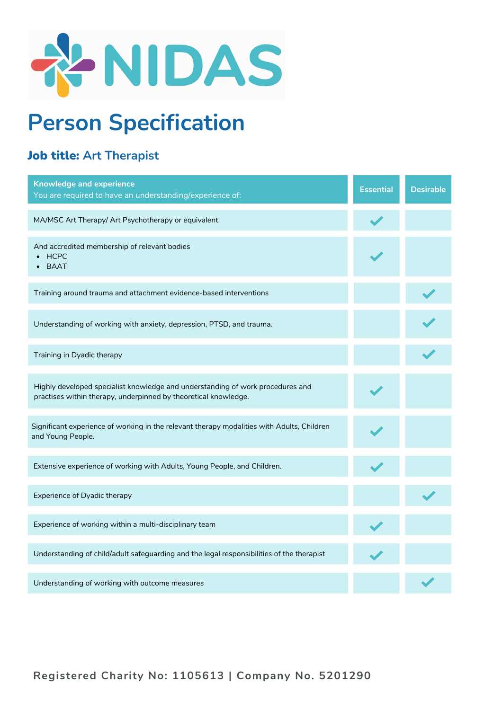

## **Person Specification**

## Job title: **Art Therapist**

| <b>Knowledge and experience</b><br>You are required to have an understanding/experience of:                                                       | <b>Essential</b> | <b>Desirable</b> |
|---------------------------------------------------------------------------------------------------------------------------------------------------|------------------|------------------|
| MA/MSC Art Therapy/ Art Psychotherapy or equivalent                                                                                               |                  |                  |
| And accredited membership of relevant bodies<br><b>HCPC</b><br>$\bullet$ BAAT                                                                     |                  |                  |
| Training around trauma and attachment evidence-based interventions                                                                                |                  |                  |
| Understanding of working with anxiety, depression, PTSD, and trauma.                                                                              |                  |                  |
| Training in Dyadic therapy                                                                                                                        |                  |                  |
| Highly developed specialist knowledge and understanding of work procedures and<br>practises within therapy, underpinned by theoretical knowledge. |                  |                  |
| Significant experience of working in the relevant therapy modalities with Adults, Children<br>and Young People.                                   |                  |                  |
| Extensive experience of working with Adults, Young People, and Children.                                                                          |                  |                  |
| Experience of Dyadic therapy                                                                                                                      |                  |                  |
| Experience of working within a multi-disciplinary team                                                                                            |                  |                  |
| Understanding of child/adult safeguarding and the legal responsibilities of the therapist                                                         |                  |                  |
| Understanding of working with outcome measures                                                                                                    |                  |                  |

**Registered Charity No: 1105613 | Company No. 5201290**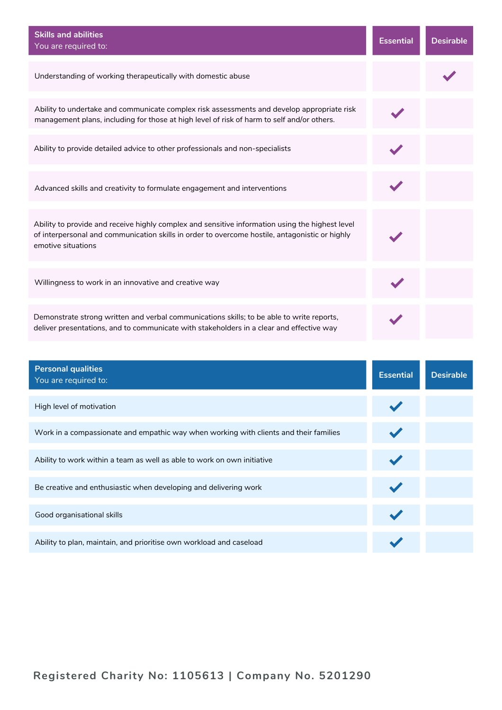| <b>Skills and abilities</b><br>You are required to:                                                                                                                                                                     | <b>Essential</b> | <b>Desirable</b> |
|-------------------------------------------------------------------------------------------------------------------------------------------------------------------------------------------------------------------------|------------------|------------------|
| Understanding of working therapeutically with domestic abuse                                                                                                                                                            |                  |                  |
| Ability to undertake and communicate complex risk assessments and develop appropriate risk<br>management plans, including for those at high level of risk of harm to self and/or others.                                |                  |                  |
| Ability to provide detailed advice to other professionals and non-specialists                                                                                                                                           |                  |                  |
| Advanced skills and creativity to formulate engagement and interventions                                                                                                                                                |                  |                  |
| Ability to provide and receive highly complex and sensitive information using the highest level<br>of interpersonal and communication skills in order to overcome hostile, antagonistic or highly<br>emotive situations |                  |                  |
| Willingness to work in an innovative and creative way                                                                                                                                                                   |                  |                  |
| Demonstrate strong written and verbal communications skills; to be able to write reports,<br>deliver presentations, and to communicate with stakeholders in a clear and effective way                                   |                  |                  |

| <b>Personal qualities</b><br>You are required to:                                     | <b>Essential</b> | <b>Desirable</b> |
|---------------------------------------------------------------------------------------|------------------|------------------|
| High level of motivation                                                              |                  |                  |
|                                                                                       |                  |                  |
| Work in a compassionate and empathic way when working with clients and their families |                  |                  |
| Ability to work within a team as well as able to work on own initiative               |                  |                  |
| Be creative and enthusiastic when developing and delivering work                      |                  |                  |
| Good organisational skills                                                            |                  |                  |
| Ability to plan, maintain, and prioritise own workload and caseload                   |                  |                  |